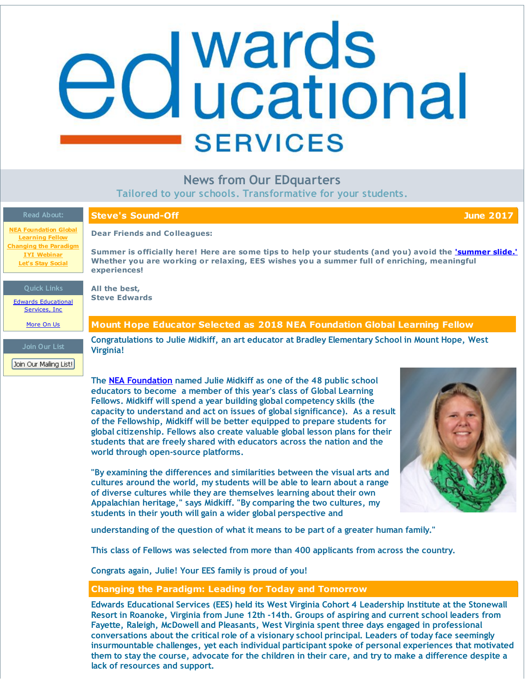# <span id="page-0-0"></span>**ed** Wards<br> **ed** ucational **SERVICES**

## **News from Our EDquarters**

**Tailored to your schools. Transformative for your students.**

| <b>Read About:</b>                                                             | <b>Steve's Sound-Off</b><br><b>June 2017</b>                                                                                                                                                                                                                                                                                                                                                                                                                                                                                                                                                                                                                                                                                                                                                                                                                                                                                                                                                                                                                                  |
|--------------------------------------------------------------------------------|-------------------------------------------------------------------------------------------------------------------------------------------------------------------------------------------------------------------------------------------------------------------------------------------------------------------------------------------------------------------------------------------------------------------------------------------------------------------------------------------------------------------------------------------------------------------------------------------------------------------------------------------------------------------------------------------------------------------------------------------------------------------------------------------------------------------------------------------------------------------------------------------------------------------------------------------------------------------------------------------------------------------------------------------------------------------------------|
| <b>NEA Foundation Global</b><br><b>Learning Fellow</b>                         | <b>Dear Friends and Colleagues:</b>                                                                                                                                                                                                                                                                                                                                                                                                                                                                                                                                                                                                                                                                                                                                                                                                                                                                                                                                                                                                                                           |
| <b>Changing the Paradigm</b><br><b>IYI Webinar</b><br><b>Let's Stay Social</b> | Summer is officially here! Here are some tips to help your students (and you) avoid the <i>'summer slide.'</i><br>Whether you are working or relaxing, EES wishes you a summer full of enriching, meaningful<br>experiences!                                                                                                                                                                                                                                                                                                                                                                                                                                                                                                                                                                                                                                                                                                                                                                                                                                                  |
| <b>Quick Links</b><br><b>Edwards Educational</b><br>Services, Inc.             | All the best,<br><b>Steve Edwards</b>                                                                                                                                                                                                                                                                                                                                                                                                                                                                                                                                                                                                                                                                                                                                                                                                                                                                                                                                                                                                                                         |
| More On Us                                                                     | Mount Hope Educator Selected as 2018 NEA Foundation Global Learning Fellow                                                                                                                                                                                                                                                                                                                                                                                                                                                                                                                                                                                                                                                                                                                                                                                                                                                                                                                                                                                                    |
| Join Our List<br>Join Our Mailing List!                                        | Congratulations to Julie Midkiff, an art educator at Bradley Elementary School in Mount Hope, West<br><b>Virginia!</b>                                                                                                                                                                                                                                                                                                                                                                                                                                                                                                                                                                                                                                                                                                                                                                                                                                                                                                                                                        |
|                                                                                | The NEA Foundation named Julie Midkiff as one of the 48 public school<br>educators to become a member of this year's class of Global Learning<br>Fellows. Midkiff will spend a year building global competency skills (the<br>capacity to understand and act on issues of global significance). As a result<br>of the Fellowship, Midkiff will be better equipped to prepare students for<br>global citizenship. Fellows also create valuable global lesson plans for their<br>students that are freely shared with educators across the nation and the<br>world through open-source platforms.<br>"By examining the differences and similarities between the visual arts and<br>cultures around the world, my students will be able to learn about a range<br>of diverse cultures while they are themselves learning about their own<br>Appalachian heritage," says Midkiff. "By comparing the two cultures, my<br>students in their youth will gain a wider global perspective and<br>understanding of the question of what it means to be part of a greater human family." |
|                                                                                | This class of Fellows was selected from more than 400 applicants from across the country.                                                                                                                                                                                                                                                                                                                                                                                                                                                                                                                                                                                                                                                                                                                                                                                                                                                                                                                                                                                     |
|                                                                                | Congrats again, Julie! Your EES family is proud of you!                                                                                                                                                                                                                                                                                                                                                                                                                                                                                                                                                                                                                                                                                                                                                                                                                                                                                                                                                                                                                       |
|                                                                                | <b>Changing the Paradigm: Leading for Today and Tomorrow</b>                                                                                                                                                                                                                                                                                                                                                                                                                                                                                                                                                                                                                                                                                                                                                                                                                                                                                                                                                                                                                  |
|                                                                                | Edwards Educational Services (EES) held its West Virginia Cohort 4 Leadership Institute at the Stonewall<br>Resort in Roanoke, Virginia from June 12th -14th. Groups of aspiring and current school leaders from<br>Fayette, Raleigh, McDowell and Pleasants, West Virginia spent three days engaged in professional<br>conversations about the critical role of a visionary school principal. Leaders of today face seemingly<br>insurmountable challenges, yet each individual participant spoke of personal experiences that motivated                                                                                                                                                                                                                                                                                                                                                                                                                                                                                                                                     |

them to stay the course, advocate for the children in their care, and try to make a difference despite a

**lack of resources and support.**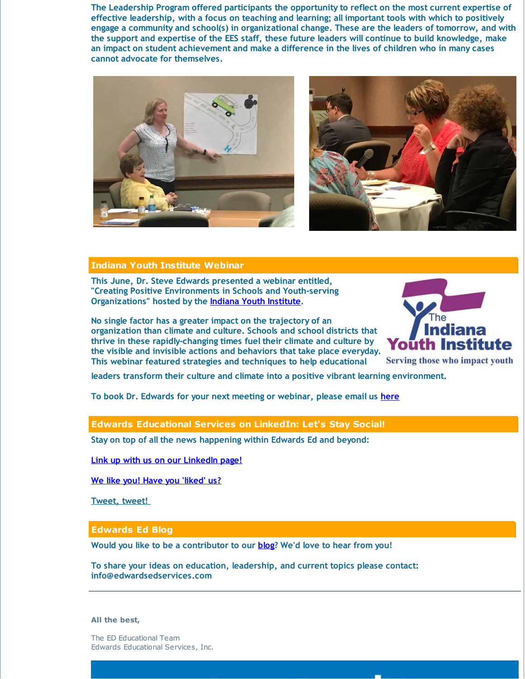**The Leadership Program offered participants the opportunity to reflect on the most current expertise of effective leadership, with a focus on teaching and learning; all important tools with which to positively engage a community and school(s) in organizational change. These are the leaders of tomorrow, and with the support and expertise of the EES staff, these future leaders will continue to build knowledge, make an impact on student achievement and make a difference in the lives of children who in many cases cannot advocate for themselves.**





### **Indiana Youth Institute Webinar**

**This June, Dr. Steve Edwards presented a webinar entitled, "Creating Positive Environments in Schools and Youth-serving Organizations" hosted by the Indiana Youth [Institute](http://r20.rs6.net/tn.jsp?f=001gJ7h_-45KDpVmg3CD75WCkHK5u0fP0gdpdQd3gUtvcdIpd0TuihTdYqIOaMMQ0JEpMCXtxGkO8BEStL1iN3NVsTKGa1AGiwvZPfk1XhIoINeWhEipxxzqjxVeK1iGAU5DUJd79SDrmD9srFB3OA6EVW4Got_MD6z&c=&ch=).**

**No single factor has a greater impact on the trajectory of an organization than climate and culture. Schools and school districts that thrive in these rapidly-changing times fuel their climate and culture by the visible and invisible actions and behaviors that take place everyday. This webinar featured strategies and techniques to help educational**



Serving those who impact youth

ш

**leaders transform their culture and climate into a positive vibrant learning environment.**

**To book Dr. Edwards for your next meeting or webinar, please email us [here](mailto:steve@edwardsedservices.com)**

### **Edwards Educational Services on LinkedIn: Let's Stay Social!**

**Stay on top of all the news happening within Edwards Ed and beyond:**

**Link up with us on our [LinkedIn](http://r20.rs6.net/tn.jsp?f=001gJ7h_-45KDpVmg3CD75WCkHK5u0fP0gdpdQd3gUtvcdIpd0TuihTdQMXXqZAkz0HjCVafE7fBXTuA6tXpHE2a7Kn88rBuKAryv5GhSmtVR7L1hCUDx4J9v4Qvo3gq6DVdiCA4txYnlh5_IpdaJfHX1ja1dFMYVr5Ug0HlHCgyhito0pUaDJPdnFaa4eDS1S42gYpMomp6Wwlfa0M-m4c9KOq9-HiDahmQjmwBMHebtY=&c=&ch=) page!**

**We like you! Have you ['liked'](http://r20.rs6.net/tn.jsp?f=001gJ7h_-45KDpVmg3CD75WCkHK5u0fP0gdpdQd3gUtvcdIpd0TuihTdWKTam3nAB4mCi2cq0HHt_LXTzVl9VLjegRnFd4jz0balWUl47fRkF0We9d7rSyrungnY2pdL8z6iM7XA__WU3wtdM-RK4Uu8N3eLY74yr2IDfuGoL2Gpn7eKdcWpmAsT2PzUy_5uQ9kZqLuH3mdTW8=&c=&ch=) us?**

**[Tweet,](http://r20.rs6.net/tn.jsp?f=001gJ7h_-45KDpVmg3CD75WCkHK5u0fP0gdpdQd3gUtvcdIpd0TuihTdQMXXqZAkz0HkrcEYm8hIYTlp7Sd6g-I-he8v5xNJgsYEdXGmUYnoDtJW2_wkQd5zAQ0qEAm-_nXfIP-W2iigGHOOJkuHHRqT0U8Zp916UqhBtMfA3LGvhBNVWLqrCXmpDlwmoyknPbn&c=&ch=) tweet!**

**Edwards Ed Blog**

**Would you like to be a contributor to our [blog](http://r20.rs6.net/tn.jsp?f=001gJ7h_-45KDpVmg3CD75WCkHK5u0fP0gdpdQd3gUtvcdIpd0TuihTdWGCAMBTnwGXAd9MKNKm-sUFku-zwCTfTUrzs5dJVyNcoSazPNaM9XFdGIqNLfvSavGkz3jR_uw15gwggv_Kc9NumIpxtEheH1qahsxQS-OvcAi22IUat6k-I1N1o0Jox_n7Ar2Htqnw&c=&ch=)? We'd love to hear from you!**

**To share your ideas on education, leadership, and current topics please contact: info@edwardsedservices.com**

**All the best,**

The ED Educational Team Edwards Educational Services, Inc.